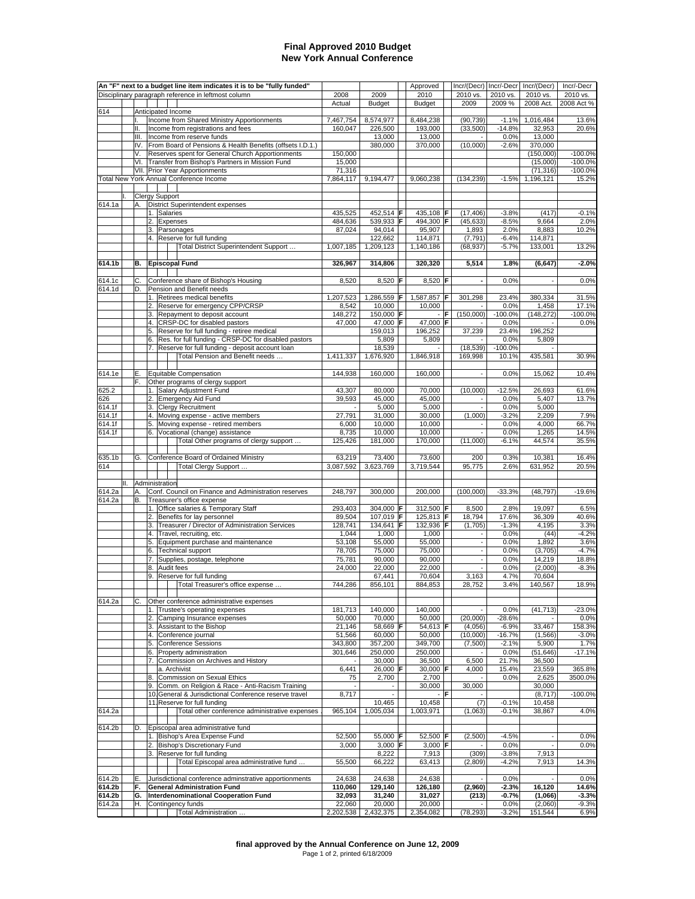## **Final Approved 2010 Budget New York Annual Conference**

|        |     |          |          | An "F" next to a budget line item indicates it is to be "fully funded"                                  |                     |                     |    | Approved              |     | Incr/(Decr)                        | Incr/-Decr         | Incr/(Decr)           | Incr/-Decr             |
|--------|-----|----------|----------|---------------------------------------------------------------------------------------------------------|---------------------|---------------------|----|-----------------------|-----|------------------------------------|--------------------|-----------------------|------------------------|
|        |     |          |          | Disciplinary paragraph reference in leftmost column                                                     | 2008                | 2009                |    | 2010<br><b>Budget</b> |     | 2010 vs.<br>2009                   | 2010 vs.<br>2009 % | 2010 vs.<br>2008 Act. | 2010 vs.<br>2008 Act % |
| 614    |     |          |          | Anticipated Income                                                                                      | Actual              | <b>Budget</b>       |    |                       |     |                                    |                    |                       |                        |
|        |     |          |          | Income from Shared Ministry Apportionments                                                              | 7,467,754           | 8,574,977           |    | 8,484,238             |     | (90, 739)                          | $-1.1%$            | 1,016,484             | 13.6%                  |
|        |     | Ш.       |          | Income from registrations and fees                                                                      | 160,047             | 226,500             |    | 193,000               |     | (33,500)                           | $-14.8%$           | 32,953                | 20.6%                  |
|        |     | Ш.       |          | Income from reserve funds                                                                               |                     | 13,000              |    | 13,000                |     |                                    | 0.0%               | 13,000                |                        |
|        |     |          |          | IV. From Board of Pensions & Health Benefits (offsets I.D.1.)                                           |                     | 380,000             |    | 370,000               |     | (10,000)                           | $-2.6%$            | 370,000               |                        |
|        |     | V.       |          | Reserves spent for General Church Apportionments<br>VI. Transfer from Bishop's Partners in Mission Fund | 150,000<br>15,000   |                     |    |                       |     |                                    |                    | (150,000)<br>(15,000) | $-100.0%$<br>$-100.0%$ |
|        |     |          |          | VII. Prior Year Apportionments                                                                          | 71,316              |                     |    |                       |     |                                    |                    | (71, 316)             | $-100.0%$              |
|        |     |          |          | Total New York Annual Conference Income                                                                 | 7,864,117           | 9,194,477           |    | 9,060,238             |     | (134, 239)                         | $-1.5%$            | 1,196,121             | 15.2%                  |
|        |     |          |          |                                                                                                         |                     |                     |    |                       |     |                                    |                    |                       |                        |
|        |     |          |          | Clergy Support                                                                                          |                     |                     |    |                       |     |                                    |                    |                       |                        |
| 614.1a |     | А.       |          | District Superintendent expenses<br>1. Salaries                                                         | 435,525             | 452.514 F           |    | 435,108 F             |     | (17, 406)                          | $-3.8%$            | (417)                 | $-0.1%$                |
|        |     |          |          | 2. Expenses                                                                                             | 484,636             | 539,933 F           |    | 494.300 F             |     | (45, 633)                          | $-8.5%$            | 9,664                 | 2.0%                   |
|        |     |          |          | 3. Parsonages                                                                                           | 87,024              | 94,014              |    | 95,907                |     | 1,893                              | 2.0%               | 8,883                 | 10.2%                  |
|        |     |          |          | 4. Reserve for full funding                                                                             |                     | 122,662             |    | 114,871               |     | (7, 791)                           | $-6.4%$            | 114,871               |                        |
|        |     |          |          | Total District Superintendent Support                                                                   | 1,007,185           | 1,209,123           |    | 1,140,186             |     | (68, 937)                          | $-5.7%$            | 133,001               | 13.2%                  |
|        |     |          |          |                                                                                                         |                     |                     |    |                       |     |                                    |                    |                       |                        |
| 614.1b |     | В.       |          | <b>Episcopal Fund</b>                                                                                   | 326,967             | 314,806             |    | 320,320               |     | 5,514                              | 1.8%               | (6, 647)              | $-2.0%$                |
| 614.1c |     | C.       |          | Conference share of Bishop's Housing                                                                    | 8,520               | 8,520 F             |    | 8,520 $F$             |     |                                    | 0.0%               |                       | 0.0%                   |
| 614.1d |     | D.       |          | Pension and Benefit needs                                                                               |                     |                     |    |                       |     |                                    |                    |                       |                        |
|        |     |          |          | 1. Retirees medical benefits                                                                            | 1,207,523           | 1,286,559           | F  | 1,587,857             |     | 301,298                            | 23.4%              | 380,334               | 31.5%                  |
|        |     |          |          | 2. Reserve for emergency CPP/CRSP                                                                       | 8,542               | 10,000              |    | 10,000                |     |                                    | 0.0%               | 1,458                 | 17.1%                  |
|        |     |          | 3.<br>4. | Repayment to deposit account<br>CRSP-DC for disabled pastors                                            | 148,272<br>47,000   | 150,000<br>47,000 F | IF | 47,000 F              |     | (150,000)<br>$\sim$                | $-100.0%$<br>0.0%  | (148, 272)            | $-100.0%$<br>0.0%      |
|        |     |          | 5.       | Reserve for full funding - retiree medical                                                              |                     | 159,013             |    | 196,252               |     | 37,239                             | 23.4%              | 196,252               |                        |
|        |     |          |          | 6. Res. for full funding - CRSP-DC for disabled pastors                                                 |                     | 5,809               |    | 5,809                 |     |                                    | 0.0%               | 5,809                 |                        |
|        |     |          |          | 7. Reserve for full funding - deposit account loan                                                      |                     | 18,539              |    |                       |     | (18, 539)                          | $-100.0%$          |                       |                        |
|        |     |          |          | Total Pension and Benefit needs                                                                         | 1,411,337           | 1,676,920           |    | 1,846,918             |     | 169,998                            | 10.1%              | 435,581               | 30.9%                  |
|        |     |          |          |                                                                                                         |                     |                     |    |                       |     |                                    |                    |                       |                        |
| 614.1e |     | Ε.<br>F. |          | Equitable Compensation<br>Other programs of clergy support                                              | 144,938             | 160,000             |    | 160,000               |     |                                    | 0.0%               | 15,062                | 10.4%                  |
| 625.2  |     |          |          | 1. Salary Adjustment Fund                                                                               | 43,307              | 80,000              |    | 70,000                |     | (10,000)                           | $-12.5%$           | 26,693                | 61.6%                  |
| 626    |     |          |          | 2. Emergency Aid Fund                                                                                   | 39,593              | 45,000              |    | 45,000                |     |                                    | 0.0%               | 5,407                 | 13.7%                  |
| 614.1f |     |          | 3.       | <b>Clergy Recruitment</b>                                                                               |                     | 5,000               |    | 5,000                 |     |                                    | 0.0%               | 5,000                 |                        |
| 614.1f |     |          | 4.       | Moving expense - active members                                                                         | 27,791              | 31,000              |    | 30,000                |     | (1,000)                            | $-3.2%$            | 2,209                 | 7.9%                   |
| 614.1f |     |          | 5.       | Moving expense - retired members                                                                        | 6,000               | 10,000              |    | 10,000                |     | ÷,                                 | 0.0%               | 4,000                 | 66.7%                  |
| 614.1f |     |          |          | 6. Vocational (change) assistance<br>Total Other programs of clergy support                             | 8,735<br>125,426    | 10,000<br>181,000   |    | 10,000<br>170,000     |     | (11,000)                           | 0.0%<br>$-6.1%$    | 1,265<br>44,574       | 14.5%<br>35.5%         |
|        |     |          |          |                                                                                                         |                     |                     |    |                       |     |                                    |                    |                       |                        |
| 635.1b |     | G.       |          | Conference Board of Ordained Ministry                                                                   | 63,219              | 73,400              |    | 73,600                |     | 200                                | 0.3%               | 10,381                | 16.4%                  |
| 614    |     |          |          | Total Clergy Support                                                                                    | 3,087,592           | 3,623,769           |    | 3,719,544             |     | 95,775                             | 2.6%               | 631,952               | 20.5%                  |
|        |     |          |          |                                                                                                         |                     |                     |    |                       |     |                                    |                    |                       |                        |
| 614.2a | 11. |          |          | Administration<br>Conf. Council on Finance and Administration reserves                                  | 248,797             | 300,000             |    | 200,000               |     | (100,000)                          | $-33.3%$           | (48, 797)             | $-19.6%$               |
| 614.2a |     | В.       |          | Treasurer's office expense                                                                              |                     |                     |    |                       |     |                                    |                    |                       |                        |
|        |     |          |          | 1. Office salaries & Temporary Staff                                                                    | 293,403             | 304,000             | ΙF | 312,500 F             |     | 8,500                              | 2.8%               | 19,097                | 6.5%                   |
|        |     |          |          | 2. Benefits for lay personnel                                                                           | 89,504              | 107,019 F           |    | 125,813 F             |     | 18,794                             | 17.6%              | 36,309                | 40.6%                  |
|        |     |          |          | 3. Treasurer / Director of Administration Services                                                      | 128,741             | 134,641             | F  | 132,936 F             |     | (1,705)                            | $-1.3%$            | 4,195                 | 3.3%                   |
|        |     |          | 4.       | Travel, recruiting, etc.                                                                                | 1,044               | 1,000               |    | 1,000<br>55,000       |     | $\overline{\phantom{a}}$<br>$\sim$ | 0.0%               | (44)                  | $-4.2%$                |
|        |     |          |          | 5. Equipment purchase and maintenance<br>6. Technical support                                           | 53,108<br>78,705    | 55,000<br>75,000    |    | 75,000                |     | $\sim$                             | 0.0%<br>0.0%       | 1,892<br>(3,705)      | 3.6%<br>$-4.7%$        |
|        |     |          |          | 7. Supplies, postage, telephone                                                                         | 75,781              | 90,000              |    | 90,000                |     | $\sim$                             | 0.0%               | 14,219                | 18.8%                  |
|        |     |          |          | 8. Audit fees                                                                                           | 24,000              | 22,000              |    | 22,000                |     | $\overline{\phantom{a}}$           | 0.0%               | (2,000)               | $-8.3%$                |
|        |     |          |          | 9. Reserve for full funding                                                                             |                     | 67,441              |    | 70,604                |     | 3,163                              | 4.7%               | 70,604                |                        |
|        |     |          |          | Total Treasurer's office expense                                                                        | 744,286             | 856,101             |    | 884,853               |     | 28,752                             | 3.4%               | 140,567               | 18.9%                  |
| 614.2a |     | C.       |          | Other conference administrative expenses                                                                |                     |                     |    |                       |     |                                    |                    |                       |                        |
|        |     |          |          | 1. Trustee's operating expenses                                                                         | 181,713             | 140,000             |    | 140,000               |     |                                    | 0.0%               | (41, 713)             | $-23.0%$               |
|        |     |          |          | Camping Insurance expenses                                                                              | 50,000              | 70,000              |    | 50.000                |     | (20,000)                           | $-28.6%$           |                       | 0.0%                   |
|        |     |          | 3.       | Assistant to the Bishop                                                                                 | 21,146              | 58,669 F            |    | 54,613 <b>F</b>       |     | (4,056)                            | $-6.9%$            | 33,467                | 158.3%                 |
|        |     |          | 4.       | Conference journal                                                                                      | 51,566              | 60,000              |    | 50,000                |     | (10,000)                           | $-16.7%$           | (1, 566)              | $-3.0%$                |
|        |     |          | 5.       | <b>Conference Sessions</b>                                                                              | 343,800<br>301,646  | 357,200             |    | 349,700<br>250.000    |     | (7,500)                            | $-2.1%$<br>0.0%    | 5,900                 | 1.7%<br>$-17.1%$       |
|        |     |          | 6.<br>7. | Property administration<br>Commission on Archives and History                                           |                     | 250,000<br>30,000   |    | 36,500                |     | 6,500                              | 21.7%              | (51, 646)<br>36,500   |                        |
|        |     |          |          | a. Archivist                                                                                            | 6,441               | 26,000              | ΙF | 30,000 F              |     | 4,000                              | 15.4%              | 23,559                | 365.8%                 |
|        |     |          | 8.       | Commission on Sexual Ethics                                                                             | 75                  | 2,700               |    | 2,700                 |     |                                    | 0.0%               | 2,625                 | 3500.0%                |
|        |     |          | 9.       | Comm. on Religion & Race - Anti-Racism Training                                                         |                     |                     |    | 30,000                |     | 30,000                             |                    | 30,000                |                        |
|        |     |          |          | 10. General & Jurisdictional Conference reserve travel                                                  | 8,717               |                     |    |                       | lF. |                                    |                    | (8,717)               | $-100.0%$              |
| 614.2a |     |          |          | 11. Reserve for full funding<br>Total other conference administrative expenses                          | 965,104             | 10,465<br>1,005,034 |    | 10,458<br>1,003,971   |     | (7)<br>(1,063)                     | $-0.1%$<br>$-0.1%$ | 10,458<br>38,867      | 4.0%                   |
|        |     |          |          |                                                                                                         |                     |                     |    |                       |     |                                    |                    |                       |                        |
| 614.2b |     | D.       |          | Episcopal area administrative fund                                                                      |                     |                     |    |                       |     |                                    |                    |                       |                        |
|        |     |          |          | 1. Bishop's Area Expense Fund                                                                           | 52,500              | 55,000 F            |    | 52,500 F              |     | (2,500)                            | $-4.5%$            |                       | 0.0%                   |
|        |     |          |          | 2. Bishop's Discretionary Fund                                                                          | 3,000               | 3,000 $F$           |    | 3,000 F               |     | $\overline{\phantom{a}}$           | 0.0%               |                       | 0.0%                   |
|        |     |          |          | 3. Reserve for full funding<br>Total Episcopal area administrative fund                                 | 55,500              | 8,222<br>66,222     |    | 7,913<br>63,413       |     | (309)<br>(2,809)                   | $-3.8%$<br>$-4.2%$ | 7,913<br>7,913        | 14.3%                  |
|        |     |          |          |                                                                                                         |                     |                     |    |                       |     |                                    |                    |                       |                        |
| 614.2b |     | Ε.       |          | Jurisdictional conference adminstrative apportionments                                                  | 24,638              | 24,638              |    | 24,638                |     | $\overline{\phantom{a}}$           | 0.0%               |                       | 0.0%                   |
| 614.2b |     | F.       |          | <b>General Administration Fund</b>                                                                      | 110,060             | 129,140             |    | 126,180               |     | (2,960)                            | $-2.3%$            | 16,120                | 14.6%                  |
| 614.2b |     | G.       |          | <b>Interdenominational Cooperation Fund</b>                                                             | 32,093              | 31,240              |    | 31,027                |     | (213)                              | $-0.7%$            | (1,066)               | $-3.3%$                |
| 614.2a |     | Η.       |          | Contingency funds<br>Total Administration                                                               | 22,060<br>2,202,538 | 20,000<br>2,432,375 |    | 20,000<br>2,354,082   |     | (78, 293)                          | 0.0%<br>$-3.2%$    | (2,060)<br>151,544    | $-9.3%$<br>6.9%        |
|        |     |          |          |                                                                                                         |                     |                     |    |                       |     |                                    |                    |                       |                        |